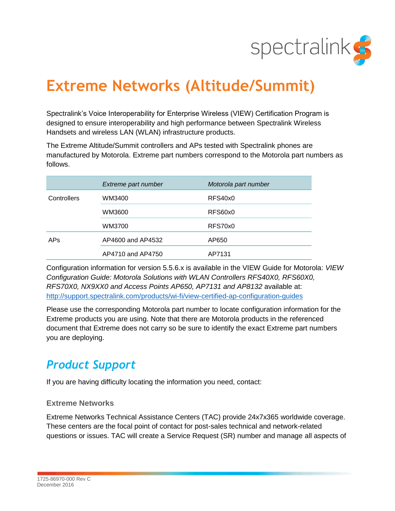

# **Extreme Networks (Altitude/Summit)**

Spectralink's Voice Interoperability for Enterprise Wireless (VIEW) Certification Program is designed to ensure interoperability and high performance between Spectralink Wireless Handsets and wireless LAN (WLAN) infrastructure products.

The Extreme Altitude/Summit controllers and APs tested with Spectralink phones are manufactured by Motorola. Extreme part numbers correspond to the Motorola part numbers as follows.

|                 | Extreme part number | Motorola part number |
|-----------------|---------------------|----------------------|
| Controllers     | WM3400              | RFS40x0              |
|                 | WM3600              | RFS60x0              |
|                 | WM3700              | RFS70x0              |
| AP <sub>S</sub> | AP4600 and AP4532   | AP650                |
|                 | AP4710 and AP4750   | AP7131               |

Configuration information for version 5.5.6.x is available in the VIEW Guide for Motorola: *VIEW Configuration Guide: Motorola Solutions with WLAN Controllers RFS40X0, RFS60X0, RFS70X0, NX9XX0 and Access Points AP650, AP7131 and AP8132* available at: <http://support.spectralink.com/products/wi-fi/view-certified-ap-configuration-guides>

Please use the corresponding Motorola part number to locate configuration information for the Extreme products you are using. Note that there are Motorola products in the referenced document that Extreme does not carry so be sure to identify the exact Extreme part numbers you are deploying.

# *Product Support*

If you are having difficulty locating the information you need, contact:

### **Extreme Networks**

Extreme Networks Technical Assistance Centers (TAC) provide 24x7x365 worldwide coverage. These centers are the focal point of contact for post-sales technical and network-related questions or issues. TAC will create a Service Request (SR) number and manage all aspects of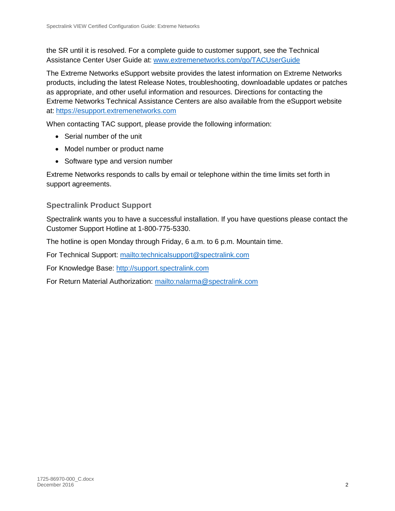the SR until it is resolved. For a complete guide to customer support, see the Technical Assistance Center User Guide at: [www.extremenetworks.com/go/TACUserGuide](http://www.extremenetworks.com/go/TACUserGuide)

The Extreme Networks eSupport website provides the latest information on Extreme Networks products, including the latest Release Notes, troubleshooting, downloadable updates or patches as appropriate, and other useful information and resources. Directions for contacting the Extreme Networks Technical Assistance Centers are also available from the eSupport website at: [https://esupport.extremenetworks.com](https://esupport.extremenetworks.com/)

When contacting TAC support, please provide the following information:

- Serial number of the unit
- Model number or product name
- Software type and version number

Extreme Networks responds to calls by email or telephone within the time limits set forth in support agreements.

## **Spectralink Product Support**

Spectralink wants you to have a successful installation. If you have questions please contact the Customer Support Hotline at 1-800-775-5330.

The hotline is open Monday through Friday, 6 a.m. to 6 p.m. Mountain time.

For Technical Support:<mailto:technicalsupport@spectralink.com>

For Knowledge Base: [http://support.spectralink.com](http://support.spectralink.com/)

For Return Material Authorization:<mailto:nalarma@spectralink.com>